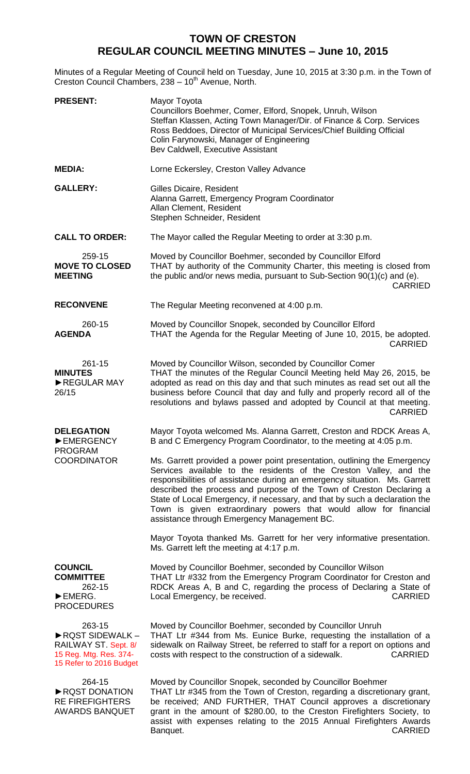## **TOWN OF CRESTON REGULAR COUNCIL MEETING MINUTES – June 10, 2015**

Minutes of a Regular Meeting of Council held on Tuesday, June 10, 2015 at 3:30 p.m. in the Town of Creston Council Chambers, 238 - 10<sup>th</sup> Avenue, North.

| <b>PRESENT:</b>                                                                                       | Mayor Toyota<br>Councillors Boehmer, Comer, Elford, Snopek, Unruh, Wilson<br>Steffan Klassen, Acting Town Manager/Dir. of Finance & Corp. Services<br>Ross Beddoes, Director of Municipal Services/Chief Building Official<br>Colin Farynowski, Manager of Engineering<br>Bev Caldwell, Executive Assistant                                                                                                                                                                                           |
|-------------------------------------------------------------------------------------------------------|-------------------------------------------------------------------------------------------------------------------------------------------------------------------------------------------------------------------------------------------------------------------------------------------------------------------------------------------------------------------------------------------------------------------------------------------------------------------------------------------------------|
| <b>MEDIA:</b>                                                                                         | Lorne Eckersley, Creston Valley Advance                                                                                                                                                                                                                                                                                                                                                                                                                                                               |
| <b>GALLERY:</b>                                                                                       | Gilles Dicaire, Resident<br>Alanna Garrett, Emergency Program Coordinator<br>Allan Clement, Resident<br>Stephen Schneider, Resident                                                                                                                                                                                                                                                                                                                                                                   |
| <b>CALL TO ORDER:</b>                                                                                 | The Mayor called the Regular Meeting to order at 3:30 p.m.                                                                                                                                                                                                                                                                                                                                                                                                                                            |
| 259-15<br><b>MOVE TO CLOSED</b><br><b>MEETING</b>                                                     | Moved by Councillor Boehmer, seconded by Councillor Elford<br>THAT by authority of the Community Charter, this meeting is closed from<br>the public and/or news media, pursuant to Sub-Section 90(1)(c) and (e).<br><b>CARRIED</b>                                                                                                                                                                                                                                                                    |
| <b>RECONVENE</b>                                                                                      | The Regular Meeting reconvened at 4:00 p.m.                                                                                                                                                                                                                                                                                                                                                                                                                                                           |
| 260-15<br><b>AGENDA</b>                                                                               | Moved by Councillor Snopek, seconded by Councillor Elford<br>THAT the Agenda for the Regular Meeting of June 10, 2015, be adopted.<br><b>CARRIED</b>                                                                                                                                                                                                                                                                                                                                                  |
| 261-15<br><b>MINUTES</b><br>REGULAR MAY<br>26/15                                                      | Moved by Councillor Wilson, seconded by Councillor Comer<br>THAT the minutes of the Regular Council Meeting held May 26, 2015, be<br>adopted as read on this day and that such minutes as read set out all the<br>business before Council that day and fully and properly record all of the<br>resolutions and bylaws passed and adopted by Council at that meeting.<br><b>CARRIED</b>                                                                                                                |
| <b>DELEGATION</b><br>EMERGENCY<br><b>PROGRAM</b><br><b>COORDINATOR</b>                                | Mayor Toyota welcomed Ms. Alanna Garrett, Creston and RDCK Areas A,<br>B and C Emergency Program Coordinator, to the meeting at 4:05 p.m.                                                                                                                                                                                                                                                                                                                                                             |
|                                                                                                       | Ms. Garrett provided a power point presentation, outlining the Emergency<br>Services available to the residents of the Creston Valley, and the<br>responsibilities of assistance during an emergency situation. Ms. Garrett<br>described the process and purpose of the Town of Creston Declaring a<br>State of Local Emergency, if necessary, and that by such a declaration the<br>Town is given extraordinary powers that would allow for financial<br>assistance through Emergency Management BC. |
|                                                                                                       | Mayor Toyota thanked Ms. Garrett for her very informative presentation.<br>Ms. Garrett left the meeting at 4:17 p.m.                                                                                                                                                                                                                                                                                                                                                                                  |
| <b>COUNCIL</b><br><b>COMMITTEE</b><br>262-15<br>EMERG.<br><b>PROCEDURES</b>                           | Moved by Councillor Boehmer, seconded by Councillor Wilson<br>THAT Ltr #332 from the Emergency Program Coordinator for Creston and<br>RDCK Areas A, B and C, regarding the process of Declaring a State of<br><b>CARRIED</b><br>Local Emergency, be received.                                                                                                                                                                                                                                         |
| 263-15<br>RQST SIDEWALK-<br>RAILWAY ST. Sept. 8/<br>15 Reg. Mtg. Res. 374-<br>15 Refer to 2016 Budget | Moved by Councillor Boehmer, seconded by Councillor Unruh<br>THAT Ltr #344 from Ms. Eunice Burke, requesting the installation of a<br>sidewalk on Railway Street, be referred to staff for a report on options and<br>costs with respect to the construction of a sidewalk.<br><b>CARRIED</b>                                                                                                                                                                                                         |
| 264-15<br>RQST DONATION<br><b>RE FIREFIGHTERS</b><br><b>AWARDS BANQUET</b>                            | Moved by Councillor Snopek, seconded by Councillor Boehmer<br>THAT Ltr #345 from the Town of Creston, regarding a discretionary grant,<br>be received; AND FURTHER, THAT Council approves a discretionary<br>grant in the amount of \$280.00, to the Creston Firefighters Society, to<br>assist with expenses relating to the 2015 Annual Firefighters Awards                                                                                                                                         |

Banquet. CARRIED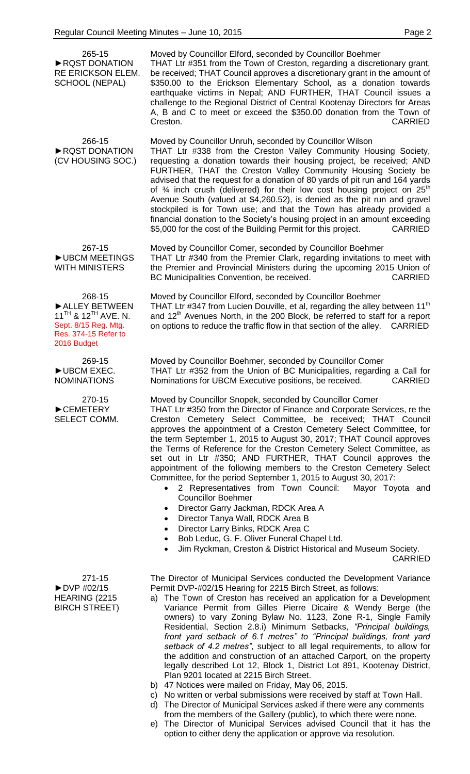265-15 ►RQST DONATION RE ERICKSON ELEM. SCHOOL (NEPAL)

Moved by Councillor Elford, seconded by Councillor Boehmer THAT Ltr #351 from the Town of Creston, regarding a discretionary grant, be received; THAT Council approves a discretionary grant in the amount of \$350.00 to the Erickson Elementary School, as a donation towards earthquake victims in Nepal; AND FURTHER, THAT Council issues a challenge to the Regional District of Central Kootenay Directors for Areas A, B and C to meet or exceed the \$350.00 donation from the Town of Creston. CARRIED

266-15 ►RQST DONATION (CV HOUSING SOC.) Moved by Councillor Unruh, seconded by Councillor Wilson THAT Ltr #338 from the Creston Valley Community Housing Society, requesting a donation towards their housing project, be received; AND FURTHER, THAT the Creston Valley Community Housing Society be advised that the request for a donation of 80 yards of pit run and 164 yards of  $\frac{3}{4}$  inch crush (delivered) for their low cost housing project on 25<sup>th</sup> Avenue South (valued at \$4,260.52), is denied as the pit run and gravel stockpiled is for Town use; and that the Town has already provided a financial donation to the Society's housing project in an amount exceeding \$5,000 for the cost of the Building Permit for this project. CARRIED

267-15 ►UBCM MEETINGS WITH MINISTERS Moved by Councillor Comer, seconded by Councillor Boehmer THAT Ltr #340 from the Premier Clark, regarding invitations to meet with the Premier and Provincial Ministers during the upcoming 2015 Union of BC Municipalities Convention, be received. CARRIED

Moved by Councillor Elford, seconded by Councillor Boehmer

268-15 ►ALLEY BETWEEN 11<sup>TH</sup> & 12<sup>TH</sup> AVE. N. Sept. 8/15 Reg. Mtg. Res. 374-15 Refer to 2016 Budget

269-15 ►UBCM EXEC. NOMINATIONS

270-15 ►CEMETERY SELECT COMM. Moved by Councillor Boehmer, seconded by Councillor Comer THAT Ltr #352 from the Union of BC Municipalities, regarding a Call for

THAT Ltr #347 from Lucien Douville, et al, regarding the alley between 11<sup>th</sup> and  $12<sup>th</sup>$  Avenues North, in the 200 Block, be referred to staff for a report on options to reduce the traffic flow in that section of the alley. CARRIED

Nominations for UBCM Executive positions, be received. CARRIED Moved by Councillor Snopek, seconded by Councillor Comer

THAT Ltr #350 from the Director of Finance and Corporate Services, re the Creston Cemetery Select Committee, be received; THAT Council approves the appointment of a Creston Cemetery Select Committee, for the term September 1, 2015 to August 30, 2017; THAT Council approves the Terms of Reference for the Creston Cemetery Select Committee, as set out in Ltr #350; AND FURTHER, THAT Council approves the appointment of the following members to the Creston Cemetery Select Committee, for the period September 1, 2015 to August 30, 2017:

- 2 Representatives from Town Council: Mayor Toyota and Councillor Boehmer
- Director Garry Jackman, RDCK Area A
- Director Tanya Wall, RDCK Area B
- Director Larry Binks, RDCK Area C
- Bob Leduc, G. F. Oliver Funeral Chapel Ltd.
- Jim Ryckman, Creston & District Historical and Museum Society.

CARRIED

271-15 ►DVP #02/15 HEARING (2215 BIRCH STREET) The Director of Municipal Services conducted the Development Variance Permit DVP-#02/15 Hearing for 2215 Birch Street, as follows:

- a) The Town of Creston has received an application for a Development Variance Permit from Gilles Pierre Dicaire & Wendy Berge (the owners) to vary Zoning Bylaw No. 1123, Zone R-1, Single Family Residential, Section 2.8.i) Minimum Setbacks, *"Principal buildings, front yard setback of 6.1 metres" to "Principal buildings, front yard setback of 4.2 metres"*, subject to all legal requirements, to allow for the addition and construction of an attached Carport, on the property legally described Lot 12, Block 1, District Lot 891, Kootenay District, Plan 9201 located at 2215 Birch Street.
- b) 47 Notices were mailed on Friday, May 06, 2015.
- c) No written or verbal submissions were received by staff at Town Hall.
- d) The Director of Municipal Services asked if there were any comments from the members of the Gallery (public), to which there were none.
- e) The Director of Municipal Services advised Council that it has the option to either deny the application or approve via resolution.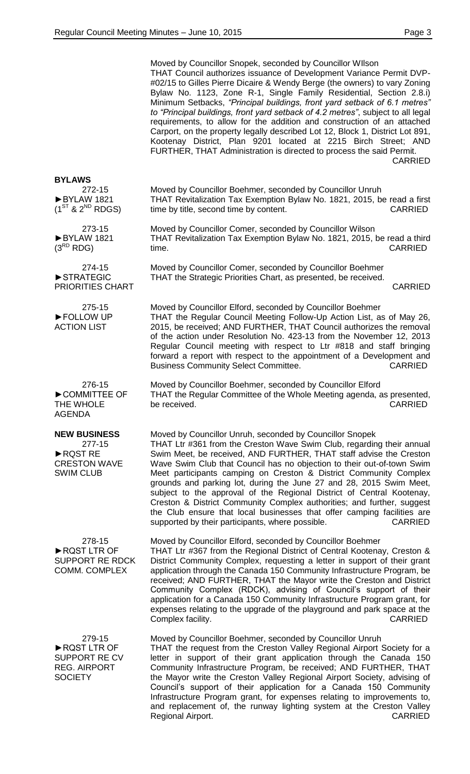|                                                                                        | Moved by Councillor Snopek, seconded by Councillor Wilson<br>THAT Council authorizes issuance of Development Variance Permit DVP-<br>#02/15 to Gilles Pierre Dicaire & Wendy Berge (the owners) to vary Zoning<br>Bylaw No. 1123, Zone R-1, Single Family Residential, Section 2.8.i)<br>Minimum Setbacks, "Principal buildings, front yard setback of 6.1 metres"<br>to "Principal buildings, front yard setback of 4.2 metres", subject to all legal<br>requirements, to allow for the addition and construction of an attached<br>Carport, on the property legally described Lot 12, Block 1, District Lot 891,<br>Kootenay District, Plan 9201 located at 2215 Birch Street; AND<br>FURTHER, THAT Administration is directed to process the said Permit.<br><b>CARRIED</b> |
|----------------------------------------------------------------------------------------|--------------------------------------------------------------------------------------------------------------------------------------------------------------------------------------------------------------------------------------------------------------------------------------------------------------------------------------------------------------------------------------------------------------------------------------------------------------------------------------------------------------------------------------------------------------------------------------------------------------------------------------------------------------------------------------------------------------------------------------------------------------------------------|
| <b>BYLAWS</b><br>272-15<br>BYLAW 1821<br>$(1^{ST}$ & $2^{ND}$ RDGS)                    | Moved by Councillor Boehmer, seconded by Councillor Unruh<br>THAT Revitalization Tax Exemption Bylaw No. 1821, 2015, be read a first<br>time by title, second time by content.<br><b>CARRIED</b>                                                                                                                                                                                                                                                                                                                                                                                                                                                                                                                                                                               |
| 273-15<br>BYLAW 1821<br>$(3^{RD}$ RDG)                                                 | Moved by Councillor Comer, seconded by Councillor Wilson<br>THAT Revitalization Tax Exemption Bylaw No. 1821, 2015, be read a third<br><b>CARRIED</b><br>time.                                                                                                                                                                                                                                                                                                                                                                                                                                                                                                                                                                                                                 |
| 274-15<br>STRATEGIC<br>PRIORITIES CHART                                                | Moved by Councillor Comer, seconded by Councillor Boehmer<br>THAT the Strategic Priorities Chart, as presented, be received.<br><b>CARRIED</b>                                                                                                                                                                                                                                                                                                                                                                                                                                                                                                                                                                                                                                 |
| 275-15<br>FOLLOW UP<br><b>ACTION LIST</b>                                              | Moved by Councillor Elford, seconded by Councillor Boehmer<br>THAT the Regular Council Meeting Follow-Up Action List, as of May 26,<br>2015, be received; AND FURTHER, THAT Council authorizes the removal<br>of the action under Resolution No. 423-13 from the November 12, 2013<br>Regular Council meeting with respect to Ltr #818 and staff bringing<br>forward a report with respect to the appointment of a Development and<br><b>Business Community Select Committee.</b><br><b>CARRIED</b>                                                                                                                                                                                                                                                                            |
| 276-15<br>COMMITTEE OF<br>THE WHOLE<br><b>AGENDA</b>                                   | Moved by Councillor Boehmer, seconded by Councillor Elford<br>THAT the Regular Committee of the Whole Meeting agenda, as presented,<br><b>CARRIED</b><br>be received.                                                                                                                                                                                                                                                                                                                                                                                                                                                                                                                                                                                                          |
| <b>NEW BUSINESS</b><br>277-15<br>RQST RE<br><b>CRESTON WAVE</b><br><b>SWIM CLUB</b>    | Moved by Councillor Unruh, seconded by Councillor Snopek<br>THAT Ltr #361 from the Creston Wave Swim Club, regarding their annual<br>Swim Meet, be received, AND FURTHER, THAT staff advise the Creston<br>Wave Swim Club that Council has no objection to their out-of-town Swim<br>Meet participants camping on Creston & District Community Complex<br>grounds and parking lot, during the June 27 and 28, 2015 Swim Meet,<br>subject to the approval of the Regional District of Central Kootenay,<br>Creston & District Community Complex authorities; and further, suggest<br>the Club ensure that local businesses that offer camping facilities are<br>supported by their participants, where possible.<br><b>CARRIED</b>                                              |
| 278-15<br>RQST LTR OF<br><b>SUPPORT RE RDCK</b><br><b>COMM. COMPLEX</b>                | Moved by Councillor Elford, seconded by Councillor Boehmer<br>THAT Ltr #367 from the Regional District of Central Kootenay, Creston &<br>District Community Complex, requesting a letter in support of their grant<br>application through the Canada 150 Community Infrastructure Program, be<br>received; AND FURTHER, THAT the Mayor write the Creston and District<br>Community Complex (RDCK), advising of Council's support of their<br>application for a Canada 150 Community Infrastructure Program grant, for<br>expenses relating to the upgrade of the playground and park space at the<br>Complex facility.<br><b>CARRIED</b>                                                                                                                                       |
| 279-15<br>RQST LTR OF<br><b>SUPPORT RE CV</b><br><b>REG. AIRPORT</b><br><b>SOCIETY</b> | Moved by Councillor Boehmer, seconded by Councillor Unruh<br>THAT the request from the Creston Valley Regional Airport Society for a<br>letter in support of their grant application through the Canada 150<br>Community Infrastructure Program, be received; AND FURTHER, THAT<br>the Mayor write the Creston Valley Regional Airport Society, advising of<br>Council's support of their application for a Canada 150 Community<br>Infrastructure Program grant, for expenses relating to improvements to,<br>and replacement of, the runway lighting system at the Creston Valley<br>Regional Airport.<br><b>CARRIED</b>                                                                                                                                                     |